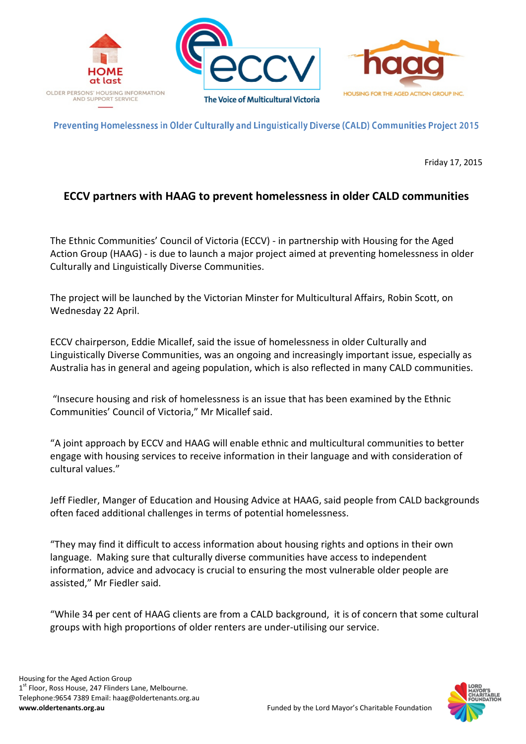

Preventing Homelessness in Older Culturally and Linguistically Diverse (CALD) Communities Project 2015

Friday 17, 2015

## ECCV partners with HAAG to prevent homelessness in older CALD communities

The Ethnic Communities' Council of Victoria (ECCV) - in partnership with Housing for the Aged Action Group (HAAG) - is due to launch a major project aimed at preventing homelessness in older Culturally and Linguistically Diverse Communities.

The project will be launched by the Victorian Minster for Multicultural Affairs, Robin Scott, on Wednesday 22 April.

ECCV chairperson, Eddie Micallef, said the issue of homelessness in older Culturally and Linguistically Diverse Communities, was an ongoing and increasingly important issue, especially as Australia has in general and ageing population, which is also reflected in many CALD communities.

 "Insecure housing and risk of homelessness is an issue that has been examined by the Ethnic Communities' Council of Victoria," Mr Micallef said.

"A joint approach by ECCV and HAAG will enable ethnic and multicultural communities to better engage with housing services to receive information in their language and with consideration of cultural values."

Jeff Fiedler, Manger of Education and Housing Advice at HAAG, said people from CALD backgrounds often faced additional challenges in terms of potential homelessness.

"They may find it difficult to access information about housing rights and options in their own language. Making sure that culturally diverse communities have access to independent information, advice and advocacy is crucial to ensuring the most vulnerable older people are assisted," Mr Fiedler said.

"While 34 per cent of HAAG clients are from a CALD background, it is of concern that some cultural groups with high proportions of older renters are under-utilising our service.